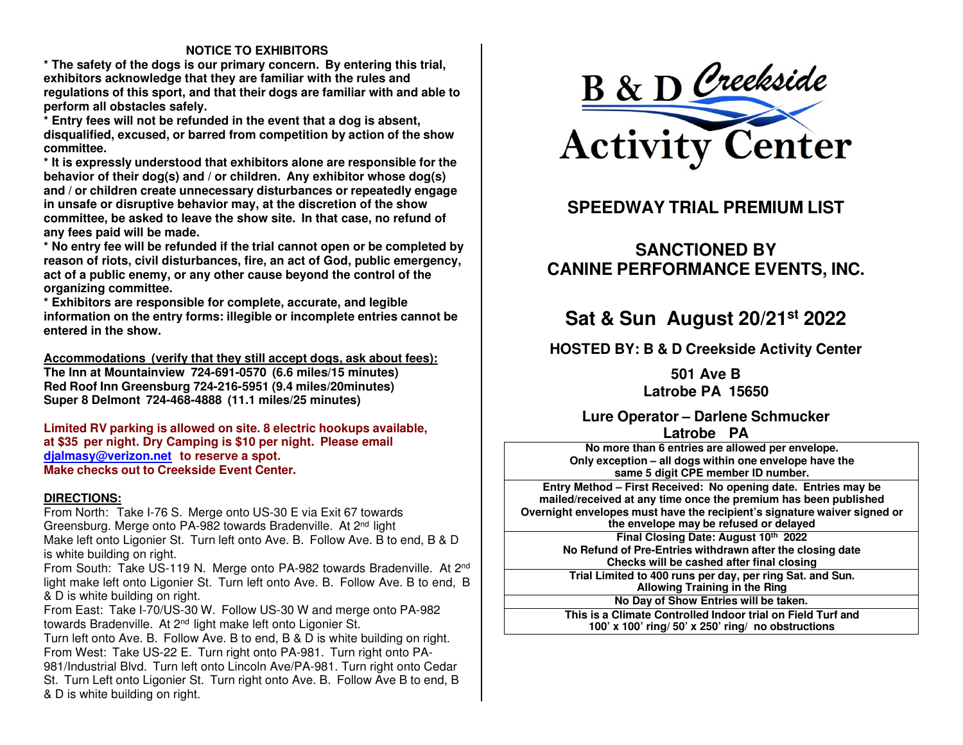#### **NOTICE TO EXHIBITORS**

 **\* The safety of the dogs is our primary concern. By entering this trial, exhibitors acknowledge that they are familiar with the rules and regulations of this sport, and that their dogs are familiar with and able to perform all obstacles safely.** 

 **\* Entry fees will not be refunded in the event that a dog is absent, disqualified, excused, or barred from competition by action of the show committee.** 

 **\* It is expressly understood that exhibitors alone are responsible for the behavior of their dog(s) and / or children. Any exhibitor whose dog(s) and / or children create unnecessary disturbances or repeatedly engage in unsafe or disruptive behavior may, at the discretion of the show committee, be asked to leave the show site. In that case, no refund of any fees paid will be made.** 

 **\* No entry fee will be refunded if the trial cannot open or be completed by reason of riots, civil disturbances, fire, an act of God, public emergency, act of a public enemy, or any other cause beyond the control of the organizing committee.** 

 **\* Exhibitors are responsible for complete, accurate, and legible information on the entry forms: illegible or incomplete entries cannot be entered in the show.** 

**Accommodations (verify that they still accept dogs, ask about fees): The Inn at Mountainview 724-691-0570 (6.6 miles/15 minutes) Red Roof Inn Greensburg 724-216-5951 (9.4 miles/20minutes) Super 8 Delmont 724-468-4888 (11.1 miles/25 minutes)** 

**Limited RV parking is allowed on site. 8 electric hookups available, at \$35 per night. Dry Camping is \$10 per night. Please email djalmasy@verizon.net to reserve a spot.Make checks out to Creekside Event Center.**

#### **DIRECTIONS:**

 From North: Take I-76 S. Merge onto US-30 E via Exit 67 towards Greensburg. Merge onto PA-982 towards Bradenville. At 2nd light Make left onto Ligonier St. Turn left onto Ave. B. Follow Ave. B to end, B & D is white building on right.

From South: Take US-119 N. Merge onto PA-982 towards Bradenville. At 2<sup>nd</sup> light make left onto Ligonier St. Turn left onto Ave. B. Follow Ave. B to end, B & D is white building on right.

 From East: Take I-70/US-30 W. Follow US-30 W and merge onto PA-982 towards Bradenville. At 2nd light make left onto Ligonier St.

 Turn left onto Ave. B. Follow Ave. B to end, B & D is white building on right. From West: Take US-22 E. Turn right onto PA-981. Turn right onto PA-981/Industrial Blvd. Turn left onto Lincoln Ave/PA-981. Turn right onto Cedar St. Turn Left onto Ligonier St. Turn right onto Ave. B. Follow Ave B to end, B & D is white building on right.



### **SPEEDWAY TRIAL PREMIUM LIST**

### **SANCTIONED BY CANINE PERFORMANCE EVENTS, INC.**

### **Sat & Sun August 20/21st <sup>2022</sup>**

**HOSTED BY: B & D Creekside Activity Center** 

**501 Ave B Latrobe PA 15650** 

#### **Lure Operator – Darlene Schmucker Latrobe PA**

 **No more than <sup>6</sup> entries are allowed per envelope. Only exception – all dogs within one envelope have the same 5 digit CPE member ID number.** 

 **Entry Method – First Received: No opening date. Entries may be mailed/received at any time once the premium has been published Overnight envelopes must have the recipient's signature waiver signed or the envelope may be refused or delayed Final Closing Date: August <sup>10</sup>th <sup>2022</sup>**

**No Refund of Pre-Entries withdrawn after the closing date Checks will be cashed after final closing** 

 **Trial Limited to <sup>400</sup> runs per day, per ring Sat. and Sun. Allowing Training in the Ring** 

**No Day of Show Entries will be taken.**

**This is <sup>a</sup> Climate Controlled Indoor trial on Field Turf and 100' x 100' ring/ 50' x 250' ring/ no obstructions**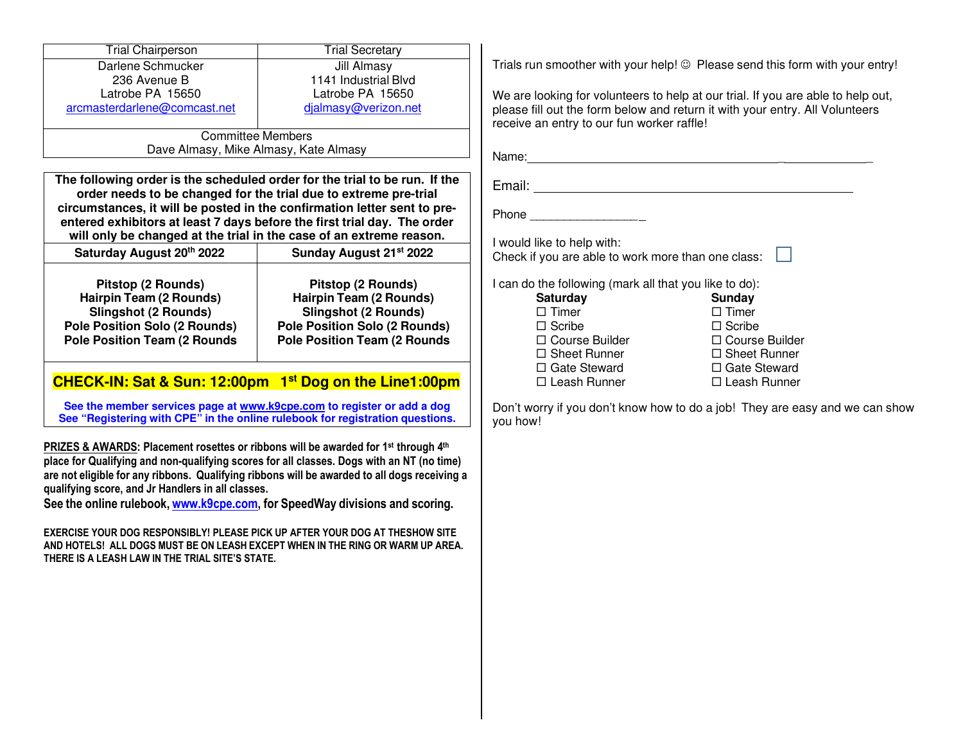| <b>Trial Chairperson</b>                                                                                                                                                                                                                       | <b>Trial Secretary</b>                                                                                                                                                                                                                                                                                                                                                        |
|------------------------------------------------------------------------------------------------------------------------------------------------------------------------------------------------------------------------------------------------|-------------------------------------------------------------------------------------------------------------------------------------------------------------------------------------------------------------------------------------------------------------------------------------------------------------------------------------------------------------------------------|
| Darlene Schmucker                                                                                                                                                                                                                              | Jill Almasy                                                                                                                                                                                                                                                                                                                                                                   |
| 236 Avenue B                                                                                                                                                                                                                                   | 1141 Industrial Blvd                                                                                                                                                                                                                                                                                                                                                          |
| Latrobe PA 15650                                                                                                                                                                                                                               | Latrobe PA 15650                                                                                                                                                                                                                                                                                                                                                              |
| arcmasterdarlene@comcast.net                                                                                                                                                                                                                   | djalmasy@verizon.net                                                                                                                                                                                                                                                                                                                                                          |
|                                                                                                                                                                                                                                                | <b>Committee Members</b>                                                                                                                                                                                                                                                                                                                                                      |
|                                                                                                                                                                                                                                                | Dave Almasy, Mike Almasy, Kate Almasy                                                                                                                                                                                                                                                                                                                                         |
|                                                                                                                                                                                                                                                | The following order is the scheduled order for the trial to be run. If the<br>order needs to be changed for the trial due to extreme pre-trial<br>circumstances, it will be posted in the confirmation letter sent to pre-<br>entered exhibitors at least 7 days before the first trial day. The order<br>will only be changed at the trial in the case of an extreme reason. |
| Saturday August 20th 2022                                                                                                                                                                                                                      | Sunday August 21 <sup>st</sup> 2022                                                                                                                                                                                                                                                                                                                                           |
| Pitstop (2 Rounds)                                                                                                                                                                                                                             | Pitstop (2 Rounds)                                                                                                                                                                                                                                                                                                                                                            |
| <b>Hairpin Team (2 Rounds)</b>                                                                                                                                                                                                                 | <b>Hairpin Team (2 Rounds)</b>                                                                                                                                                                                                                                                                                                                                                |
| <b>Slingshot (2 Rounds)</b><br><b>Pole Position Solo (2 Rounds)</b>                                                                                                                                                                            | <b>Slingshot (2 Rounds)</b><br><b>Pole Position Solo (2 Rounds)</b>                                                                                                                                                                                                                                                                                                           |
| <b>Pole Position Team (2 Rounds</b>                                                                                                                                                                                                            | <b>Pole Position Team (2 Rounds</b>                                                                                                                                                                                                                                                                                                                                           |
|                                                                                                                                                                                                                                                | CHECK-IN: Sat & Sun: 12:00pm 1 <sup>st</sup> Dog on the Line1:00pm                                                                                                                                                                                                                                                                                                            |
|                                                                                                                                                                                                                                                |                                                                                                                                                                                                                                                                                                                                                                               |
|                                                                                                                                                                                                                                                | See the member services page at www.k9cpe.com to register or add a dog<br>See "Registering with CPE" in the online rulebook for registration questions.                                                                                                                                                                                                                       |
| PRIZES & AWARDS: Placement rosettes or ribbons will be awarded for 1 <sup>st</sup> through 4 <sup>th</sup><br>qualifying score, and Jr Handlers in all classes.<br>See the online rulebook, www.k9cpe.com, for SpeedWay divisions and scoring. | place for Qualifying and non-qualifying scores for all classes. Dogs with an NT (no time)<br>are not eligible for any ribbons. Qualifying ribbons will be awarded to all dogs receiving a                                                                                                                                                                                     |
| THERE IS A LEASH LAW IN THE TRIAL SITE'S STATE.                                                                                                                                                                                                | EXERCISE YOUR DOG RESPONSIBLY! PLEASE PICK UP AFTER YOUR DOG AT THESHOW SITE<br>AND HOTELS! ALL DOGS MUST BE ON LEASH EXCEPT WHEN IN THE RING OR WARM UP AREA.                                                                                                                                                                                                                |

Trials run smoother with your help!  $\circledcirc$  Please send this form with your entry!

We are looking for volunteers to help at our trial. If you are able to help out, lease fill out the form below and return it with your entry. All Volunteers eceive an entry to our fun worker raffle!

 $A$  ame:  $A$  and  $A$  and  $A$  and  $A$  and  $A$  and  $A$  and  $A$  and  $A$  and  $A$  and  $A$  and  $A$  and  $A$  and  $A$  and  $A$  and  $A$  and  $A$  and  $A$  and  $A$  and  $A$  and  $A$  and  $A$  and  $A$  and  $A$  and  $A$  and  $A$  and  $A$  and  $A$ 

Email:

Phone \_\_\_\_\_\_\_\_\_\_\_\_\_\_\_\_

would like to help with:

Check if you are able to work more than one class:

can do the following (mark all that you like to do):

| <b>Saturday</b>       | Sunday                |
|-----------------------|-----------------------|
| $\Box$ Timer          | $\Box$ Timer          |
| $\Box$ Scribe         | $\Box$ Scribe         |
| $\Box$ Course Builder | $\Box$ Course Builder |
| $\Box$ Sheet Runner   | $\Box$ Sheet Runner   |
| $\Box$ Gate Steward   | $\Box$ Gate Steward   |
| $\Box$ Leash Runner   | $\Box$ Leash Runner   |
|                       |                       |

Don't worry if you don't know how to do a job! They are easy and we can show you how!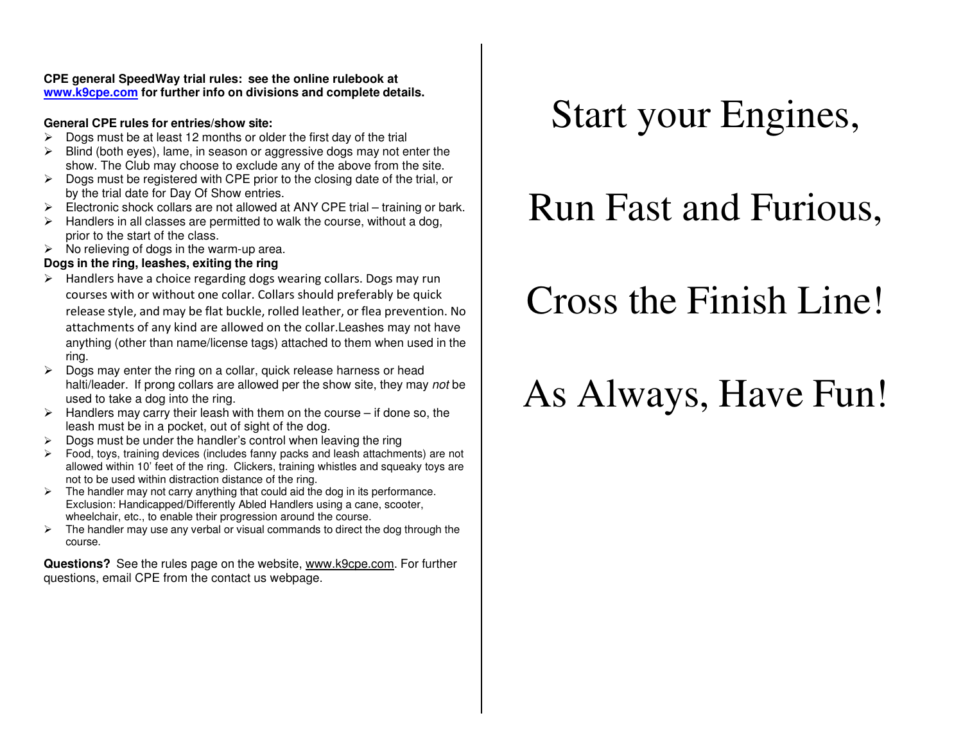**CPE general SpeedWay trial rules: see the online rulebook at www.k9cpe.com for further info on divisions and complete details.**

#### **General CPE rules for entries/show site:**

- $\geq$  Dogs must be at least 12 months or older the first day of the trial  $\geq$  Plind (both over) lamp in access or aggressive dega moving to
- $\triangleright$  Blind (both eyes), lame, in season or aggressive dogs may not enter the show. The Club may abose to evolude any of the above from the eitershow. The Club may choose to exclude any of the above from the site.
- $\triangleright$  Dogs must be registered with CPE prior to the closing date of the trial, or<br>by the trial data for Day Of Show antrice by the trial date for Day Of Show entries.
- Electronic shock collars are not allowed at ANY CPE trial training or bark.
- $\triangleright$  Handlers in all classes are permitted to walk the course, without a dog,<br>nation to the otest of the class prior to the start of the class.
- $\triangleright$  No relieving of dogs in the warm-up area.

#### **Dogs in the ring, leashes, exiting the ring**

- $\triangleright$  Handlers have a choice regarding dogs wearing collars. Dogs may run courses with or without one collar. Collars should preferably be quick release style, and may be flat buckle, rolled leather, or flea prevention. No attachments of any kind are allowed on the collar.Leashes may not have anything (other than name/license tags) attached to them when used in the ring.
- $\triangleright$  Dogs may enter the ring on a collar, quick release harness or head<br>boltilled or if props collars are allowed per the show site they may halti/leader. If prong collars are allowed per the show site, they may not be used to take a dog into the ring.
- $\triangleright$  Handlers may carry their leash with them on the course if done so, the leash must be in a posicial suit of eight of the dog leash must be in a pocket, out of sight of the dog.
- $\geq$  Dogs must be under the handler's control when leaving the ring  $\geq$
- $\triangleright$  Food, toys, training devices (includes fanny packs and leash attachments) are not<br>ellowed within 10' feet of the ring. Clickers, training whistles and aquesty toys are allowed within 10' feet of the ring. Clickers, training whistles and squeaky toys are not to be used within distraction distance of the ring.
- $\triangleright$  The handler may not carry anything that could aid the dog in its performance.<br>Exclusion: Handicanned/Differently Abled Handlers using a sense acceptor. Exclusion: Handicapped/Differently Abled Handlers using a cane, scooter, wheelchair, etc., to enable their progression around the course.
- $\triangleright$  The handler may use any verbal or visual commands to direct the dog through the seuro course.

**Questions?** See the rules page on the website, www.k9cpe.com. For further questions, email CPE from the contact us webpage.

## Start your Engines,

## Run Fast and Furious,

# Cross the Finish Line!

# As Always, Have Fun!